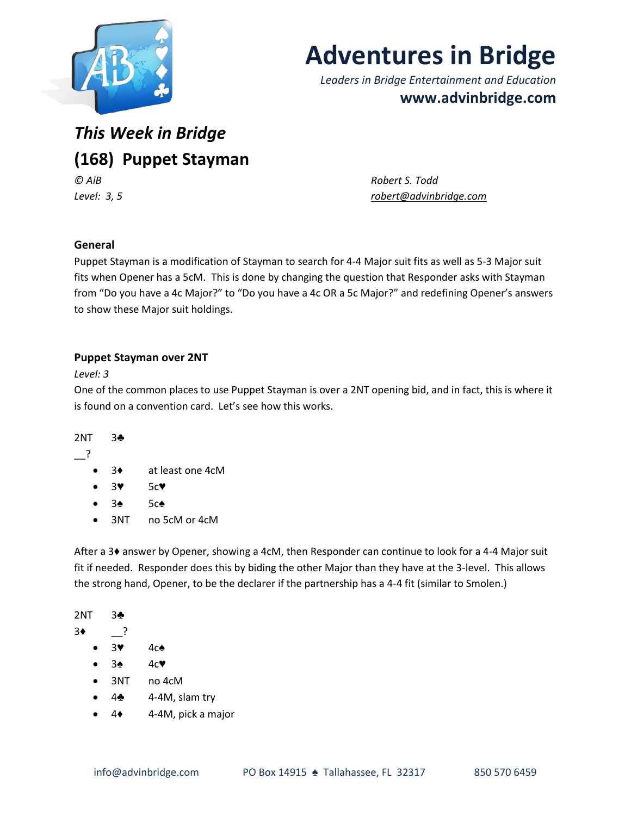

# **Adventures in Bridge**

*Leaders in Bridge Entertainment and Education* **www.advinbridge.com**

# *This Week in Bridge* **(168) Puppet Stayman** *© AiB Robert S. Todd*

*Level: 3, 5 [robert@advinbridge.com](mailto:robert@advinbridge.com)*

# **General**

Puppet Stayman is a modification of Stayman to search for 4-4 Major suit fits as well as 5-3 Major suit fits when Opener has a 5cM. This is done by changing the question that Responder asks with Stayman from "Do you have a 4c Major?" to "Do you have a 4c OR a 5c Major?" and redefining Opener's answers to show these Major suit holdings.

# **Puppet Stayman over 2NT**

*Level: 3*

One of the common places to use Puppet Stayman is over a 2NT opening bid, and in fact, this is where it is found on a convention card. Let's see how this works.

### 2NT 3♣

\_\_?

- 3♦ at least one 4cM
- 3♥ 5c♥
- 3♠ 5c♠
- 3NT no 5cM or 4cM

After a 3♦ answer by Opener, showing a 4cM, then Responder can continue to look for a 4-4 Major suit fit if needed. Responder does this by biding the other Major than they have at the 3-level. This allows the strong hand, Opener, to be the declarer if the partnership has a 4-4 fit (similar to Smolen.)

2NT 3♣  $3 \bullet$  ? 3♥ 4c♠ 3♠ 4c♥ 3NT no 4cM

- 4♣ 4-4M, slam try
- 4♦ 4-4M, pick a major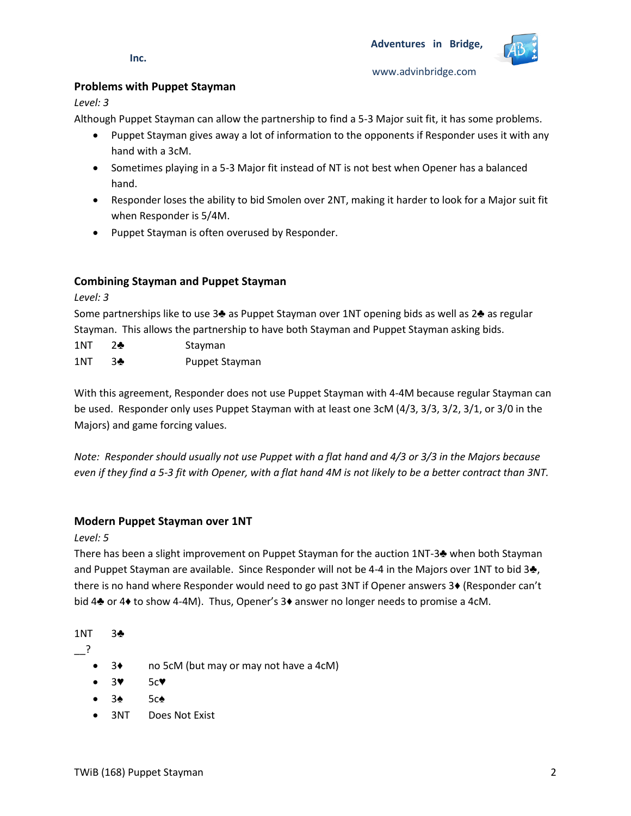

**Inc.**

www.advinbridge.com

### **Problems with Puppet Stayman**

*Level: 3*

Although Puppet Stayman can allow the partnership to find a 5-3 Major suit fit, it has some problems.

- Puppet Stayman gives away a lot of information to the opponents if Responder uses it with any hand with a 3cM.
- Sometimes playing in a 5-3 Major fit instead of NT is not best when Opener has a balanced hand.
- Responder loses the ability to bid Smolen over 2NT, making it harder to look for a Major suit fit when Responder is 5/4M.
- Puppet Stayman is often overused by Responder.

# **Combining Stayman and Puppet Stayman**

*Level: 3*

Some partnerships like to use 3♣ as Puppet Stayman over 1NT opening bids as well as 2♣ as regular Stayman. This allows the partnership to have both Stayman and Puppet Stayman asking bids.

- 1NT 2♣ Stayman
- 1NT 3♣ Puppet Stayman

With this agreement, Responder does not use Puppet Stayman with 4-4M because regular Stayman can be used. Responder only uses Puppet Stayman with at least one 3cM (4/3, 3/3, 3/2, 3/1, or 3/0 in the Majors) and game forcing values.

*Note: Responder should usually not use Puppet with a flat hand and 4/3 or 3/3 in the Majors because even if they find a 5-3 fit with Opener, with a flat hand 4M is not likely to be a better contract than 3NT.*

# **Modern Puppet Stayman over 1NT**

*Level: 5*

There has been a slight improvement on Puppet Stayman for the auction 1NT-3♣ when both Stayman and Puppet Stayman are available. Since Responder will not be 4-4 in the Majors over 1NT to bid 3♣, there is no hand where Responder would need to go past 3NT if Opener answers 3♦ (Responder can't bid 4♣ or 4♦ to show 4-4M). Thus, Opener's 3♦ answer no longer needs to promise a 4cM.

1NT 3♣

\_\_?

- 3♦ no 5cM (but may or may not have a 4cM)
- 3♥ 5c♥
- 3♠ 5c♠
- 3NT Does Not Exist